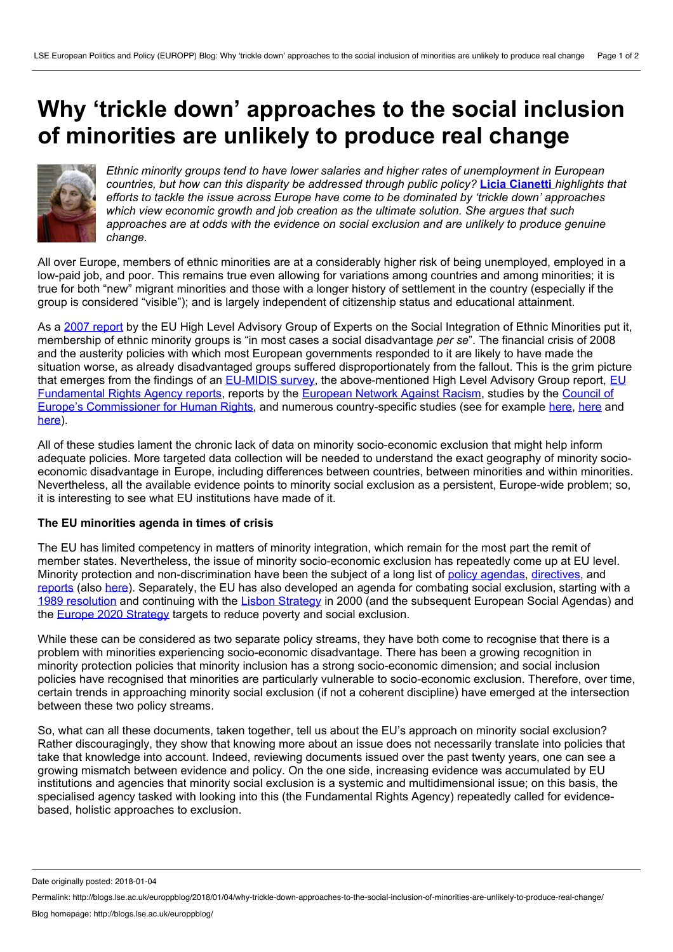## <span id="page-0-0"></span>**Why 'trickle down' approaches to the social inclusion of minorities are unlikely to produce real change**



*Ethnic minority groups tend to have lower salaries and higher rates of unemployment in European countries, but how can this disparity be addressed through public policy?* **Licia [Cianetti](#page-0-0)** *highlights that efforts to tackle the issue across Europe have come to be dominated by 'trickle down' approaches which view economic growth and job creation as the ultimate solution. She argues that such approaches are at odds with the evidence on social exclusion and are unlikely to produce genuine change.*

All over Europe, members of ethnic minorities are at a considerably higher risk of being unemployed, employed in a low-paid job, and poor. This remains true even allowing for variations among countries and among minorities; it is true for both "new" migrant minorities and those with a longer history of settlement in the country (especially if the group is considered "visible"); and is largely independent of citizenship status and educational attainment.

As a 2007 [report](https://www.opensocietyfoundations.org/sites/default/files/report_20071201.pdf) by the EU High Level Advisory Group of Experts on the Social Integration of Ethnic Minorities put it, membership of ethnic minority groups is "in most cases a social disadvantage *per se*". The financial crisis of 2008 and the austerity policies with which most European governments responded to it are likely to have made the situation worse, as already disadvantaged groups suffered disproportionately from the fallout. This is the grim picture that emerges from the findings of an [EU-MIDIS](http://fra.europa.eu/en/project/2011/eu-midis-european-union-minorities-and-discrimination-survey) survey, the [above-mentioned](http://fra.europa.eu/en/publications-and-resources/publications) High Level Advisory Group report, EU Fundamental Rights Agency reports, reports by the [European](http://www.enar-eu.org/) Network Against Racism, studies by the Council of Europe's Commissioner for Human Rights, and numerous [country-specific](https://wcd.coe.int/com.instranet.InstraServlet?command=com.instranet.CmdBlobGet&InstranetImage=2933785&SecMode=1&DocId=2215366&Usage=2) studies (see for example [here,](http://onlinelibrary.wiley.com/doi/10.1111/j.1468-0475.2011.00538.x/full) [here](https://papers.ssrn.com/sol3/papers.cfm?abstract_id=1750399) and [here\)](http://www4.shu.ac.uk/research/cresr/sites/shu.ac.uk/files/welfare-reform-2016.pdf).

All of these studies lament the chronic lack of data on minority socio-economic exclusion that might help inform adequate policies. More targeted data collection will be needed to understand the exact geography of minority socio economic disadvantage in Europe, including differences between countries, between minorities and within minorities. Nevertheless, all the available evidence points to minority social exclusion as a persistent, Europe-wide problem; so, it is interesting to see what EU institutions have made of it.

## **The EU minorities agenda in times of crisis**

The EU has limited competency in matters of minority integration, which remain for the most part the remit of member states. Nevertheless, the issue of minority socio-economic exclusion has repeatedly come up at EU level. Minority protection and non-discrimination have been the subject of a long list of policy [agendas](http://www.europarl.europa.eu/RegData/docs_autres_institutions/commission_europeenne/com/2004/0379/COM_COM%282004%290379_EN.pdf), [directives](http://europa.eu/rapid/press-release_MEMO-07-257_en.htm), and [reports](http://ec.europa.eu/justice/fundamental-rights/document/index_en.htm) (also [here](http://fra.europa.eu/en/publications-and-resources/publications)). Separately, the EU has also developed an agenda for combating social exclusion, starting with a 1989 [resolution](http://eur-lex.europa.eu/legal-content/EN/TXT/?uri=CELEX%3A41989X1031) and continuing with the Lisbon [Strategy](http://www.europarl.europa.eu/summits/lis1_en.htm) in 2000 (and the subsequent European Social Agendas) and the Europe 2020 [Strategy](http://ec.europa.eu/social/main.jsp?catId=750) targets to reduce poverty and social exclusion.

While these can be considered as two separate policy streams, they have both come to recognise that there is a problem with minorities experiencing socio-economic disadvantage. There has been a growing recognition in minority protection policies that minority inclusion has a strong socio-economic dimension; and social inclusion policies have recognised that minorities are particularly vulnerable to socio-economic exclusion. Therefore, over time, certain trends in approaching minority social exclusion (if not a coherent discipline) have emerged at the intersection between these two policy streams.

So, what can all these documents, taken together, tell us about the EU's approach on minority social exclusion? Rather discouragingly, they show that knowing more about an issue does not necessarily translate into policies that take that knowledge into account. Indeed, reviewing documents issued over the past twenty years, one can see a growing mismatch between evidence and policy. On the one side, increasing evidence was accumulated by EU institutions and agencies that minority social exclusion is a systemic and multidimensional issue; on this basis, the specialised agency tasked with looking into this (the Fundamental Rights Agency) repeatedly called for evidence based, holistic approaches to exclusion.

Date originally posted: 2018-01-04

Permalink: http://blogs.lse.ac.uk/europpblog/2018/01/04/why-trickle-down-approaches-to-the-social-inclusion-of-minorities-are-unlikely-to-produce-real-change/